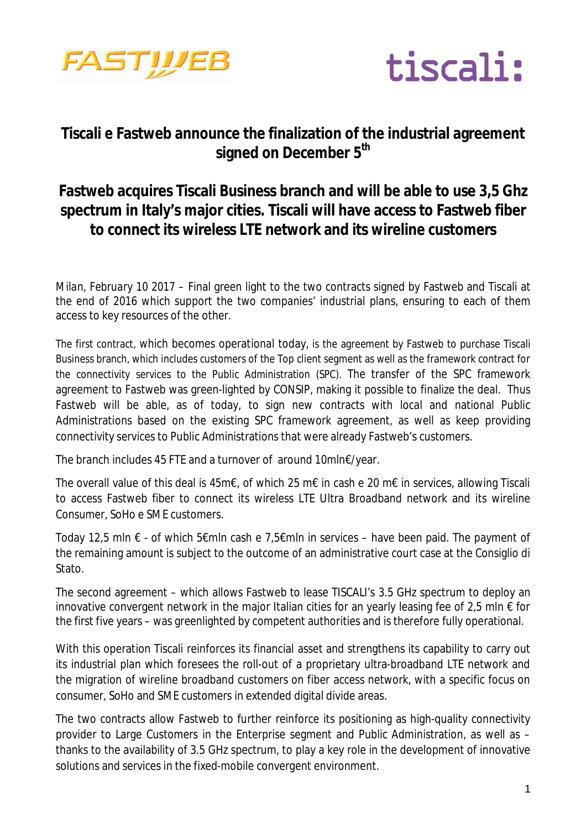



## **Tiscali e Fastweb announce the finalization of the industrial agreement signed on December 5th**

## **Fastweb acquires Tiscali Business branch and will be able to use 3,5 Ghz spectrum in Italy's major cities. Tiscali will have access to Fastweb fiber to connect its wireless LTE network and its wireline customers**

*Milan, February 10 2017* – Final green light to the two contracts signed by Fastweb and Tiscali at the end of 2016 which support the two companies' industrial plans, ensuring to each of them access to key resources of the other.

The first contract, which becomes operational today, is the agreement by Fastweb to purchase Tiscali Business branch, which includes customers of the Top client segment as well as the framework contract for the connectivity services to the Public Administration (SPC). The transfer of the SPC framework agreement to Fastweb was green-lighted by CONSIP, making it possible to finalize the deal. Thus Fastweb will be able, as of today, to sign new contracts with local and national Public Administrations based on the existing SPC framework agreement, as well as keep providing connectivity services to Public Administrations that were already Fastweb's customers.

The branch includes 45 FTE and a turnover of around 10mln€/year.

The overall value of this deal is 45m€, of which 25 m€ in cash e 20 m€ in services, allowing Tiscali to access Fastweb fiber to connect its wireless LTE Ultra Broadband network and its wireline Consumer, SoHo e SME customers.

Today 12,5 mln € - of which 5€mln cash e 7,5€mln in services – have been paid. The payment of the remaining amount is subject to the outcome of an administrative court case at the Consiglio di **Stato** 

The second agreement – which allows Fastweb to lease TISCALI's 3.5 GHz spectrum to deploy an innovative convergent network in the major Italian cities for an yearly leasing fee of 2,5 mln  $\epsilon$  for the first five years – was greenlighted by competent authorities and is therefore fully operational.

With this operation Tiscali reinforces its financial asset and strengthens its capability to carry out its industrial plan which foresees the roll-out of a proprietary ultra-broadband LTE network and the migration of wireline broadband customers on fiber access network, with a specific focus on consumer, SoHo and SME customers in extended digital divide areas.

The two contracts allow Fastweb to further reinforce its positioning as high-quality connectivity provider to Large Customers in the Enterprise segment and Public Administration, as well as – thanks to the availability of 3.5 GHz spectrum, to play a key role in the development of innovative solutions and services in the fixed-mobile convergent environment.